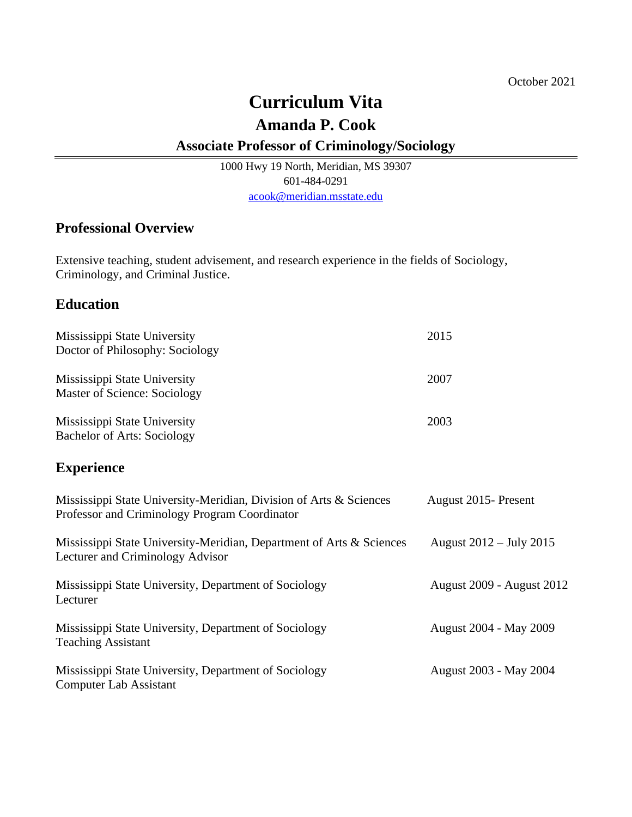# **Curriculum Vita**

## **Amanda P. Cook**

### **Associate Professor of Criminology/Sociology**

1000 Hwy 19 North, Meridian, MS 39307 601-484-0291 [acook@meridian.msstate.edu](mailto:acook@meridian.msstate.edu)

### **Professional Overview**

Extensive teaching, student advisement, and research experience in the fields of Sociology, Criminology, and Criminal Justice.

### **Education**

| Mississippi State University<br>Doctor of Philosophy: Sociology                                                     | 2015                             |
|---------------------------------------------------------------------------------------------------------------------|----------------------------------|
| Mississippi State University<br>Master of Science: Sociology                                                        | 2007                             |
| Mississippi State University<br><b>Bachelor of Arts: Sociology</b>                                                  | 2003                             |
| <b>Experience</b>                                                                                                   |                                  |
| Mississippi State University-Meridian, Division of Arts & Sciences<br>Professor and Criminology Program Coordinator | August 2015 - Present            |
| Mississippi State University-Meridian, Department of Arts & Sciences<br>Lecturer and Criminology Advisor            | August 2012 – July 2015          |
| Mississippi State University, Department of Sociology<br>Lecturer                                                   | <b>August 2009 - August 2012</b> |
| Mississippi State University, Department of Sociology<br><b>Teaching Assistant</b>                                  | August 2004 - May 2009           |
| Mississippi State University, Department of Sociology<br><b>Computer Lab Assistant</b>                              | August 2003 - May 2004           |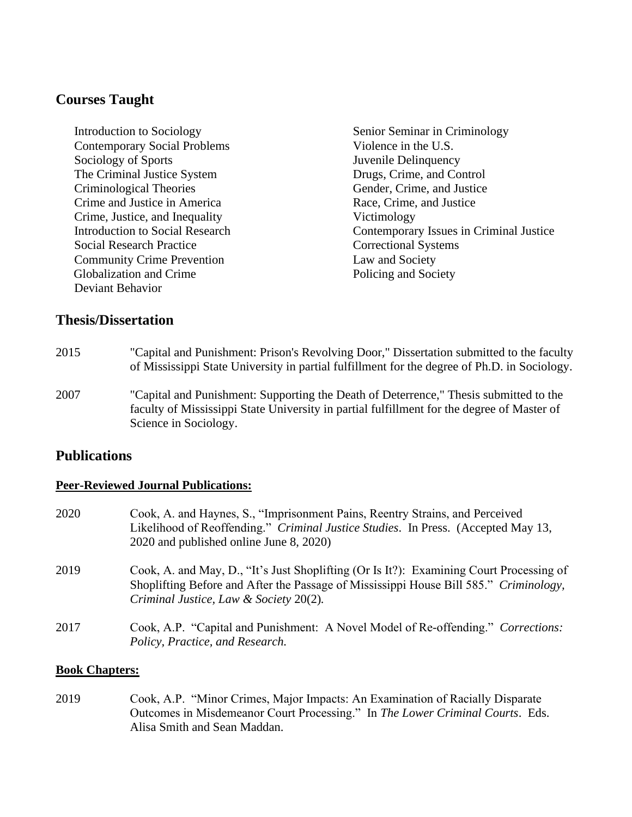### **Courses Taught**

Introduction to Sociology Senior Seminar in Criminology Contemporary Social Problems Violence in the U.S. Sociology of Sports Juvenile Delinquency The Criminal Justice System Drugs, Crime, and Control Criminological Theories Gender, Crime, and Justice Crime and Justice in America Race, Crime, and Justice Crime, Justice, and Inequality Victimology Social Research Practice Correctional Systems Community Crime Prevention Law and Society **Globalization and Crime Policing and Society** Deviant Behavior

Introduction to Social Research Contemporary Issues in Criminal Justice

### **Thesis/Dissertation**

- 2015 "Capital and Punishment: Prison's Revolving Door," Dissertation submitted to the faculty of Mississippi State University in partial fulfillment for the degree of Ph.D. in Sociology.
- 2007 "Capital and Punishment: Supporting the Death of Deterrence," Thesis submitted to the faculty of Mississippi State University in partial fulfillment for the degree of Master of Science in Sociology.

### **Publications**

#### **Peer-Reviewed Journal Publications:**

| 2020 | Cook, A. and Haynes, S., "Imprisonment Pains, Reentry Strains, and Perceived<br>Likelihood of Reoffending." Criminal Justice Studies. In Press. (Accepted May 13,<br>2020 and published online June 8, 2020)               |
|------|----------------------------------------------------------------------------------------------------------------------------------------------------------------------------------------------------------------------------|
| 2019 | Cook, A. and May, D., "It's Just Shoplifting (Or Is It?): Examining Court Processing of<br>Shoplifting Before and After the Passage of Mississippi House Bill 585." Criminology,<br>Criminal Justice, Law & Society 20(2). |
| 2017 | Cook, A.P. "Capital and Punishment: A Novel Model of Re-offending." Corrections:<br>Policy, Practice, and Research.                                                                                                        |

#### **Book Chapters:**

2019 Cook, A.P. "Minor Crimes, Major Impacts: An Examination of Racially Disparate Outcomes in Misdemeanor Court Processing." In *The Lower Criminal Courts*. Eds. Alisa Smith and Sean Maddan.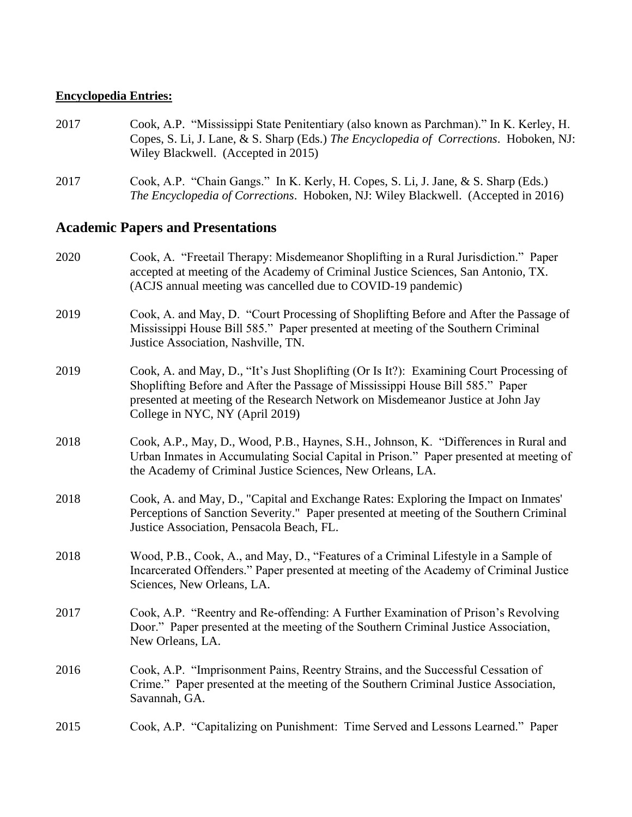#### **Encyclopedia Entries:**

- 2017 Cook, A.P. "Mississippi State Penitentiary (also known as Parchman)." In K. Kerley, H. Copes, S. Li, J. Lane, & S. Sharp (Eds.) *The Encyclopedia of Corrections*. Hoboken, NJ: Wiley Blackwell. (Accepted in 2015)
- 2017 Cook, A.P. "Chain Gangs." In K. Kerly, H. Copes, S. Li, J. Jane, & S. Sharp (Eds.) *The Encyclopedia of Corrections*. Hoboken, NJ: Wiley Blackwell. (Accepted in 2016)

#### **Academic Papers and Presentations**

2020 Cook, A. "Freetail Therapy: Misdemeanor Shoplifting in a Rural Jurisdiction." Paper accepted at meeting of the Academy of Criminal Justice Sciences, San Antonio, TX. (ACJS annual meeting was cancelled due to COVID-19 pandemic) 2019 Cook, A. and May, D. "Court Processing of Shoplifting Before and After the Passage of Mississippi House Bill 585." Paper presented at meeting of the Southern Criminal Justice Association, Nashville, TN. 2019 Cook, A. and May, D., "It's Just Shoplifting (Or Is It?): Examining Court Processing of Shoplifting Before and After the Passage of Mississippi House Bill 585." Paper presented at meeting of the Research Network on Misdemeanor Justice at John Jay College in NYC, NY (April 2019) 2018 Cook, A.P., May, D., Wood, P.B., Haynes, S.H., Johnson, K. "Differences in Rural and Urban Inmates in Accumulating Social Capital in Prison." Paper presented at meeting of the Academy of Criminal Justice Sciences, New Orleans, LA. 2018 Cook, A. and May, D., "Capital and Exchange Rates: Exploring the Impact on Inmates' Perceptions of Sanction Severity." Paper presented at meeting of the Southern Criminal Justice Association, Pensacola Beach, FL. 2018 Wood, P.B., Cook, A., and May, D., "Features of a Criminal Lifestyle in a Sample of Incarcerated Offenders." Paper presented at meeting of the Academy of Criminal Justice Sciences, New Orleans, LA. 2017 Cook, A.P. "Reentry and Re-offending: A Further Examination of Prison's Revolving Door." Paper presented at the meeting of the Southern Criminal Justice Association, New Orleans, LA. 2016 Cook, A.P. "Imprisonment Pains, Reentry Strains, and the Successful Cessation of Crime." Paper presented at the meeting of the Southern Criminal Justice Association, Savannah, GA. 2015 Cook, A.P. "Capitalizing on Punishment: Time Served and Lessons Learned." Paper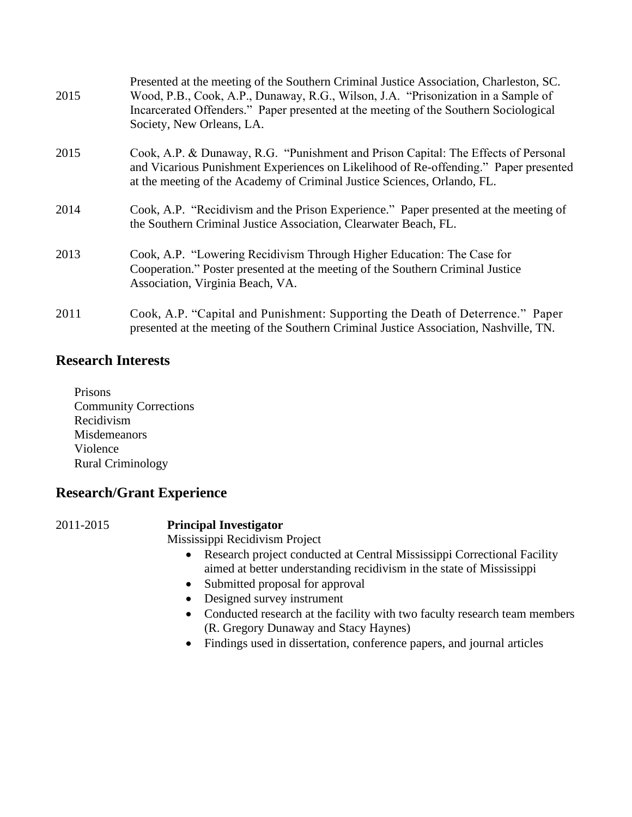| 2015 | Presented at the meeting of the Southern Criminal Justice Association, Charleston, SC.<br>Wood, P.B., Cook, A.P., Dunaway, R.G., Wilson, J.A. "Prisonization in a Sample of<br>Incarcerated Offenders." Paper presented at the meeting of the Southern Sociological<br>Society, New Orleans, LA. |
|------|--------------------------------------------------------------------------------------------------------------------------------------------------------------------------------------------------------------------------------------------------------------------------------------------------|
| 2015 | Cook, A.P. & Dunaway, R.G. "Punishment and Prison Capital: The Effects of Personal<br>and Vicarious Punishment Experiences on Likelihood of Re-offending." Paper presented<br>at the meeting of the Academy of Criminal Justice Sciences, Orlando, FL.                                           |
| 2014 | Cook, A.P. "Recidivism and the Prison Experience." Paper presented at the meeting of<br>the Southern Criminal Justice Association, Clearwater Beach, FL.                                                                                                                                         |
| 2013 | Cook, A.P. "Lowering Recidivism Through Higher Education: The Case for<br>Cooperation." Poster presented at the meeting of the Southern Criminal Justice<br>Association, Virginia Beach, VA.                                                                                                     |
| 2011 | Cook, A.P. "Capital and Punishment: Supporting the Death of Deterrence." Paper<br>presented at the meeting of the Southern Criminal Justice Association, Nashville, TN.                                                                                                                          |

### **Research Interests**

Prisons Community Corrections Recidivism Misdemeanors Violence Rural Criminology

## **Research/Grant Experience**

### 2011-2015 **Principal Investigator**

Mississippi Recidivism Project

- Research project conducted at Central Mississippi Correctional Facility aimed at better understanding recidivism in the state of Mississippi
- Submitted proposal for approval
- Designed survey instrument
- Conducted research at the facility with two faculty research team members (R. Gregory Dunaway and Stacy Haynes)
- Findings used in dissertation, conference papers, and journal articles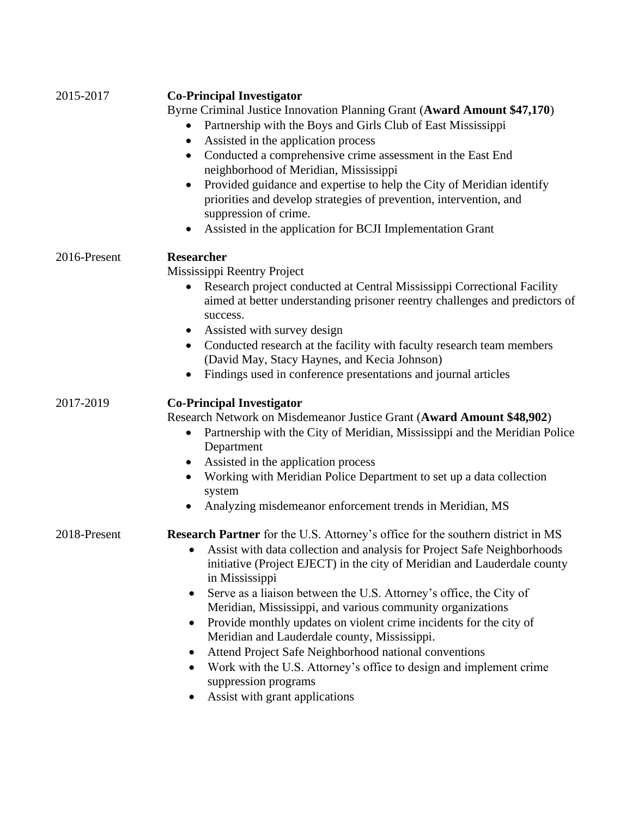| 2015-2017    | <b>Co-Principal Investigator</b>                                                         |
|--------------|------------------------------------------------------------------------------------------|
|              | Byrne Criminal Justice Innovation Planning Grant (Award Amount \$47,170)                 |
|              | Partnership with the Boys and Girls Club of East Mississippi                             |
|              | Assisted in the application process                                                      |
|              | Conducted a comprehensive crime assessment in the East End<br>$\bullet$                  |
|              | neighborhood of Meridian, Mississippi                                                    |
|              | Provided guidance and expertise to help the City of Meridian identify                    |
|              | priorities and develop strategies of prevention, intervention, and                       |
|              | suppression of crime.                                                                    |
|              | Assisted in the application for BCJI Implementation Grant                                |
| 2016-Present | <b>Researcher</b>                                                                        |
|              | Mississippi Reentry Project                                                              |
|              | Research project conducted at Central Mississippi Correctional Facility<br>$\bullet$     |
|              | aimed at better understanding prisoner reentry challenges and predictors of              |
|              | success.                                                                                 |
|              | Assisted with survey design<br>$\bullet$                                                 |
|              | Conducted research at the facility with faculty research team members                    |
|              | (David May, Stacy Haynes, and Kecia Johnson)                                             |
|              | Findings used in conference presentations and journal articles                           |
| 2017-2019    | <b>Co-Principal Investigator</b>                                                         |
|              | Research Network on Misdemeanor Justice Grant (Award Amount \$48,902)                    |
|              | Partnership with the City of Meridian, Mississippi and the Meridian Police<br>Department |
|              | Assisted in the application process                                                      |
|              | Working with Meridian Police Department to set up a data collection                      |
|              | system                                                                                   |
|              | Analyzing misdemeanor enforcement trends in Meridian, MS                                 |
| 2018-Present | Research Partner for the U.S. Attorney's office for the southern district in MS          |
|              | Assist with data collection and analysis for Project Safe Neighborhoods                  |
|              | initiative (Project EJECT) in the city of Meridian and Lauderdale county                 |
|              | in Mississippi                                                                           |
|              | Serve as a liaison between the U.S. Attorney's office, the City of<br>$\bullet$          |
|              | Meridian, Mississippi, and various community organizations                               |
|              | Provide monthly updates on violent crime incidents for the city of<br>٠                  |
|              | Meridian and Lauderdale county, Mississippi.                                             |
|              | Attend Project Safe Neighborhood national conventions<br>$\bullet$                       |
|              | Work with the U.S. Attorney's office to design and implement crime<br>٠                  |
|              | suppression programs                                                                     |
|              | Assist with grant applications                                                           |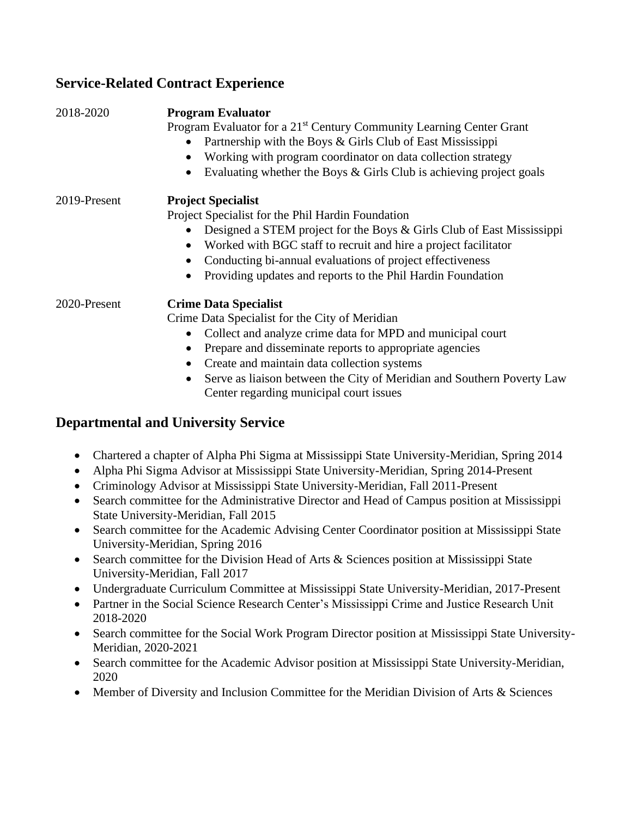## **Service-Related Contract Experience**

| 2018-2020    | <b>Program Evaluator</b>                                                            |
|--------------|-------------------------------------------------------------------------------------|
|              | Program Evaluator for a 21 <sup>st</sup> Century Community Learning Center Grant    |
|              | Partnership with the Boys & Girls Club of East Mississippi<br>$\bullet$             |
|              | Working with program coordinator on data collection strategy<br>$\bullet$           |
|              | Evaluating whether the Boys $\&$ Girls Club is achieving project goals<br>$\bullet$ |
| 2019-Present | <b>Project Specialist</b>                                                           |
|              | Project Specialist for the Phil Hardin Foundation                                   |
|              | Designed a STEM project for the Boys & Girls Club of East Mississippi               |
|              | Worked with BGC staff to recruit and hire a project facilitator<br>$\bullet$        |
|              | Conducting bi-annual evaluations of project effectiveness<br>$\bullet$              |
|              | Providing updates and reports to the Phil Hardin Foundation                         |
| 2020-Present | <b>Crime Data Specialist</b>                                                        |
|              | Crime Data Specialist for the City of Meridian                                      |
|              | Collect and analyze crime data for MPD and municipal court<br>$\bullet$             |
|              | Prepare and disseminate reports to appropriate agencies<br>٠                        |
|              | Create and maintain data collection systems<br>$\bullet$                            |
|              | Serve as liaison between the City of Meridian and Southern Poverty Law<br>$\bullet$ |
|              | Center regarding municipal court issues                                             |
|              |                                                                                     |

## **Departmental and University Service**

- Chartered a chapter of Alpha Phi Sigma at Mississippi State University-Meridian, Spring 2014
- Alpha Phi Sigma Advisor at Mississippi State University-Meridian, Spring 2014-Present
- Criminology Advisor at Mississippi State University-Meridian, Fall 2011-Present
- Search committee for the Administrative Director and Head of Campus position at Mississippi State University-Meridian, Fall 2015
- Search committee for the Academic Advising Center Coordinator position at Mississippi State University-Meridian, Spring 2016
- Search committee for the Division Head of Arts & Sciences position at Mississippi State University-Meridian, Fall 2017
- Undergraduate Curriculum Committee at Mississippi State University-Meridian, 2017-Present
- Partner in the Social Science Research Center's Mississippi Crime and Justice Research Unit 2018-2020
- Search committee for the Social Work Program Director position at Mississippi State University-Meridian, 2020-2021
- Search committee for the Academic Advisor position at Mississippi State University-Meridian, 2020
- Member of Diversity and Inclusion Committee for the Meridian Division of Arts & Sciences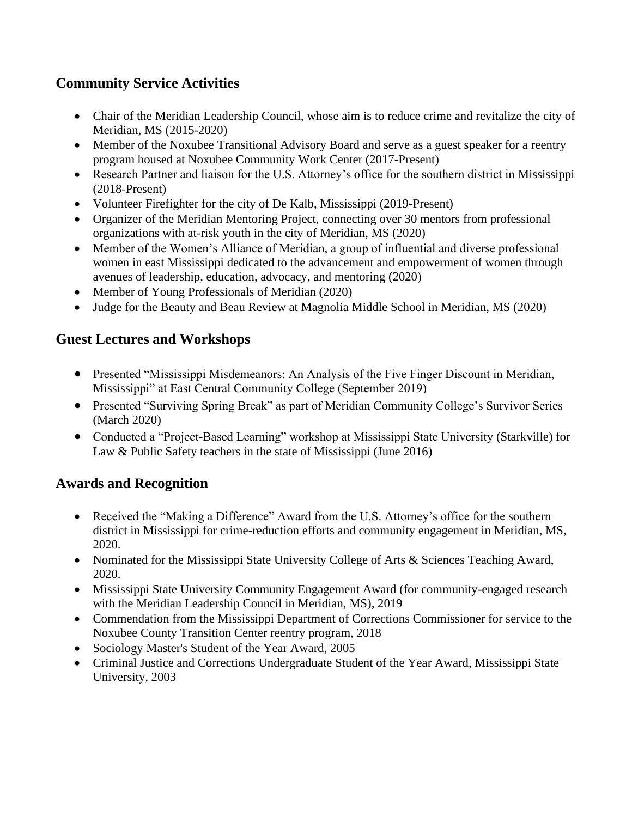## **Community Service Activities**

- Chair of the Meridian Leadership Council, whose aim is to reduce crime and revitalize the city of Meridian, MS (2015-2020)
- Member of the Noxubee Transitional Advisory Board and serve as a guest speaker for a reentry program housed at Noxubee Community Work Center (2017-Present)
- Research Partner and liaison for the U.S. Attorney's office for the southern district in Mississippi (2018-Present)
- Volunteer Firefighter for the city of De Kalb, Mississippi (2019-Present)
- Organizer of the Meridian Mentoring Project, connecting over 30 mentors from professional organizations with at-risk youth in the city of Meridian, MS (2020)
- Member of the Women's Alliance of Meridian, a group of influential and diverse professional women in east Mississippi dedicated to the advancement and empowerment of women through avenues of leadership, education, advocacy, and mentoring (2020)
- Member of Young Professionals of Meridian (2020)
- Judge for the Beauty and Beau Review at Magnolia Middle School in Meridian, MS (2020)

## **Guest Lectures and Workshops**

- Presented "Mississippi Misdemeanors: An Analysis of the Five Finger Discount in Meridian, Mississippi" at East Central Community College (September 2019)
- Presented "Surviving Spring Break" as part of Meridian Community College's Survivor Series (March 2020)
- Conducted a "Project-Based Learning" workshop at Mississippi State University (Starkville) for Law & Public Safety teachers in the state of Mississippi (June 2016)

## **Awards and Recognition**

- Received the "Making a Difference" Award from the U.S. Attorney's office for the southern district in Mississippi for crime-reduction efforts and community engagement in Meridian, MS, 2020.
- Nominated for the Mississippi State University College of Arts & Sciences Teaching Award, 2020.
- Mississippi State University Community Engagement Award (for community-engaged research with the Meridian Leadership Council in Meridian, MS), 2019
- Commendation from the Mississippi Department of Corrections Commissioner for service to the Noxubee County Transition Center reentry program, 2018
- Sociology Master's Student of the Year Award, 2005
- Criminal Justice and Corrections Undergraduate Student of the Year Award, Mississippi State University, 2003